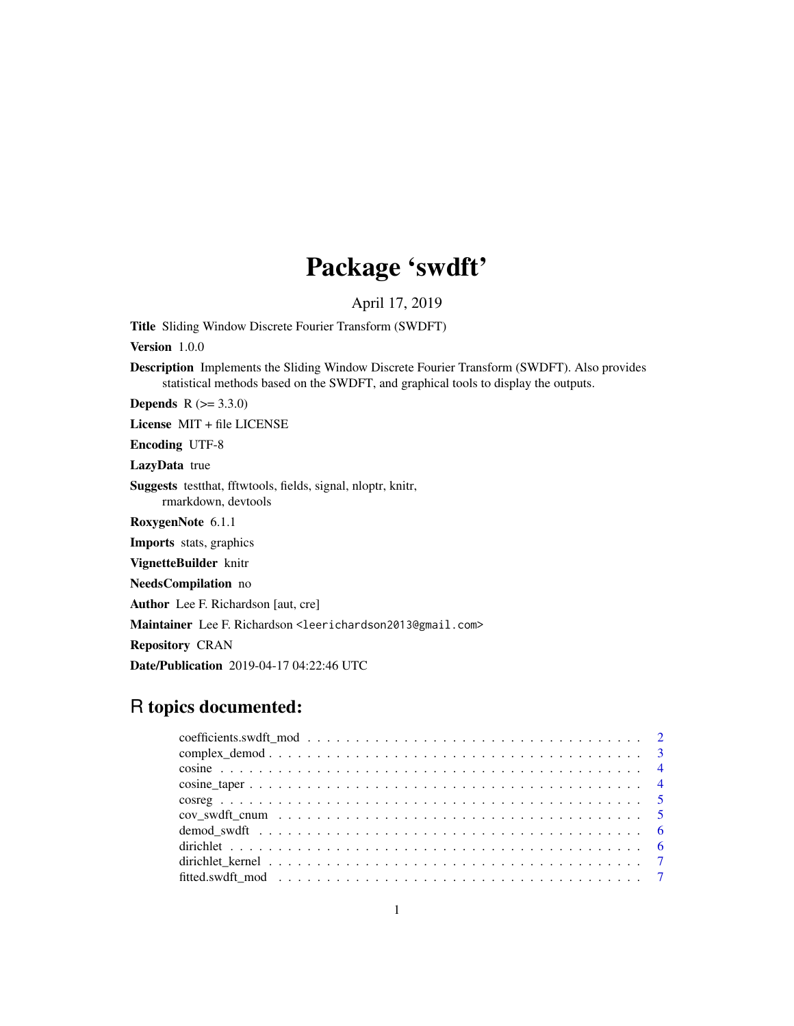# Package 'swdft'

April 17, 2019

Title Sliding Window Discrete Fourier Transform (SWDFT)

Version 1.0.0

Description Implements the Sliding Window Discrete Fourier Transform (SWDFT). Also provides statistical methods based on the SWDFT, and graphical tools to display the outputs.

**Depends**  $R (= 3.3.0)$ 

License MIT + file LICENSE

Encoding UTF-8

LazyData true

Suggests testthat, fftwtools, fields, signal, nloptr, knitr, rmarkdown, devtools

RoxygenNote 6.1.1

Imports stats, graphics

VignetteBuilder knitr

NeedsCompilation no

Author Lee F. Richardson [aut, cre]

Maintainer Lee F. Richardson <leerichardson2013@gmail.com>

Repository CRAN

Date/Publication 2019-04-17 04:22:46 UTC

# R topics documented: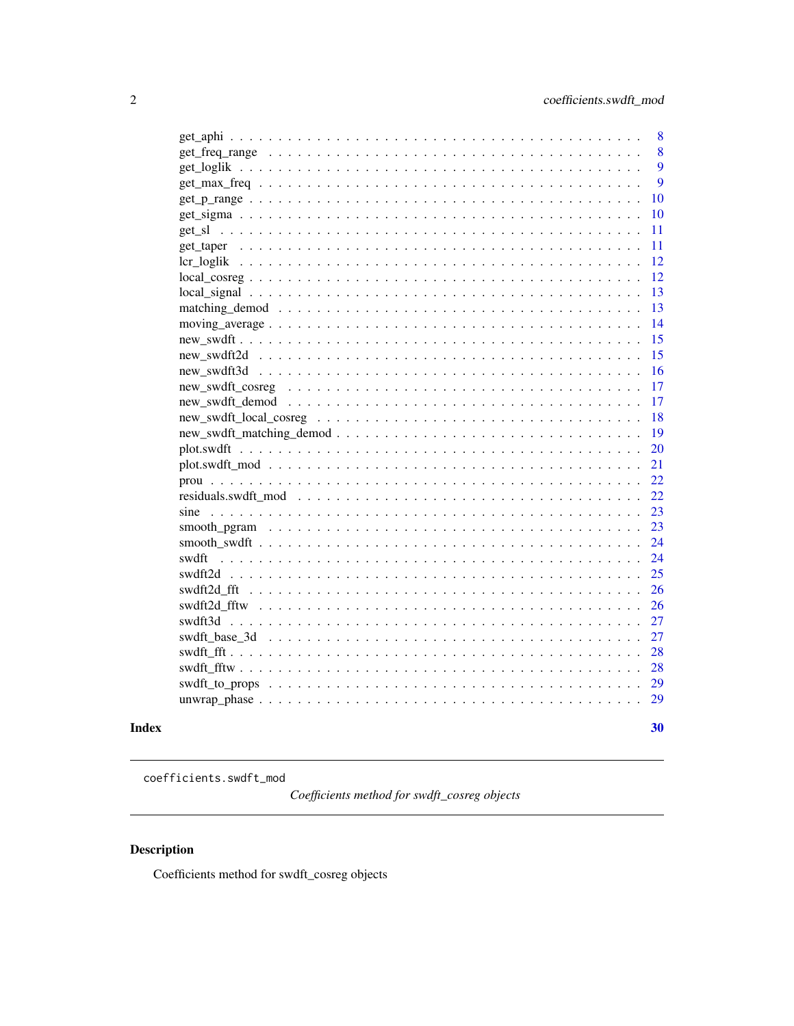<span id="page-1-0"></span>

|                                                                                                                                | 8  |
|--------------------------------------------------------------------------------------------------------------------------------|----|
|                                                                                                                                | 8  |
|                                                                                                                                | 9  |
|                                                                                                                                | 9  |
|                                                                                                                                | 10 |
|                                                                                                                                | 10 |
|                                                                                                                                | 11 |
|                                                                                                                                | 11 |
|                                                                                                                                | 12 |
| $local \text{ } \text{cosreg} \dots \dots \dots \dots \dots \dots \dots \dots \dots \dots \dots \dots \dots \dots \dots \dots$ | 12 |
|                                                                                                                                | 13 |
|                                                                                                                                | 13 |
|                                                                                                                                | 14 |
|                                                                                                                                | 15 |
|                                                                                                                                | 15 |
|                                                                                                                                | 16 |
|                                                                                                                                | 17 |
|                                                                                                                                | 17 |
|                                                                                                                                | 18 |
|                                                                                                                                | 19 |
|                                                                                                                                | 20 |
|                                                                                                                                | 21 |
|                                                                                                                                | 22 |
|                                                                                                                                | 22 |
| sine                                                                                                                           | 23 |
|                                                                                                                                | 23 |
|                                                                                                                                | 24 |
| swdft                                                                                                                          | 24 |
|                                                                                                                                | 25 |
|                                                                                                                                | 26 |
|                                                                                                                                | 26 |
|                                                                                                                                | 27 |
|                                                                                                                                | 27 |
|                                                                                                                                | 28 |
|                                                                                                                                | 28 |
|                                                                                                                                | 29 |
| $unwrap-phase \dots \dots \dots \dots \dots \dots \dots \dots \dots \dots \dots \dots \dots \dots \dots \dots$                 | 29 |
|                                                                                                                                |    |
|                                                                                                                                | 30 |

# **Index**

coefficients.swdft\_mod

Coefficients method for swdft\_cosreg objects

# Description

Coefficients method for swdft\_cosreg objects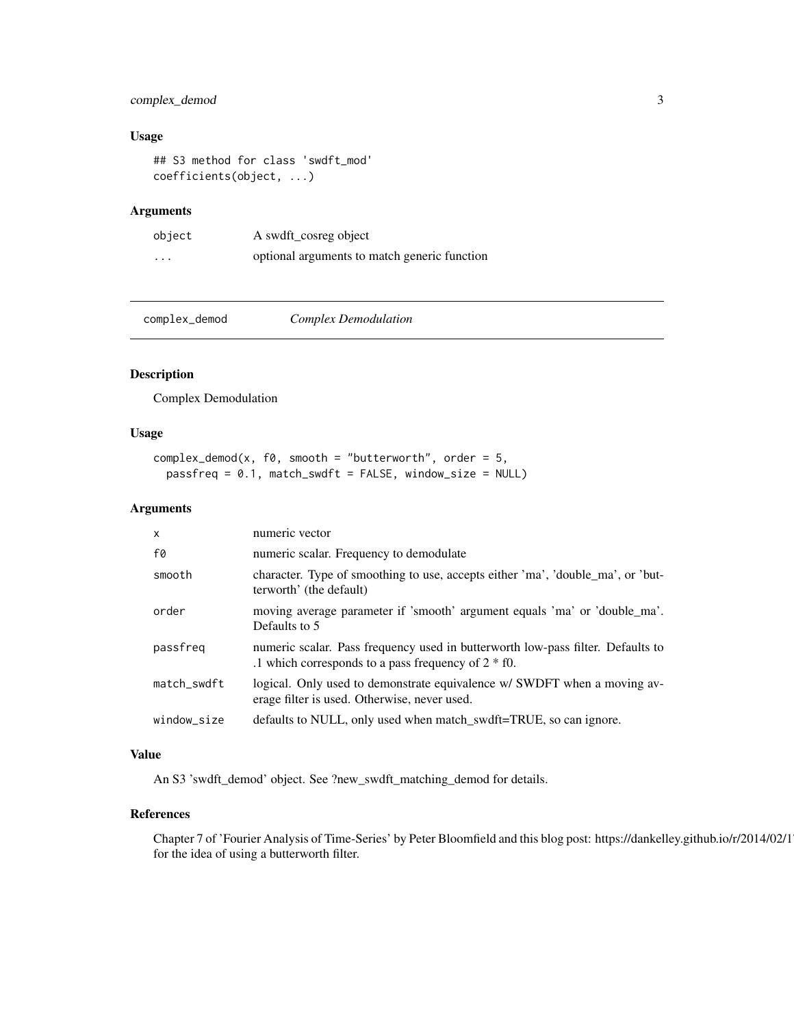#### <span id="page-2-0"></span>complex\_demod 3

#### Usage

```
## S3 method for class 'swdft_mod'
coefficients(object, ...)
```
#### Arguments

| object   | A swdft_cosreg object                        |
|----------|----------------------------------------------|
| $\cdots$ | optional arguments to match generic function |

complex\_demod *Complex Demodulation*

#### Description

Complex Demodulation

### Usage

```
complex_demod(x, f\emptyset, smooth = "butterworth", order = 5,
  passfreq = 0.1, match_swdft = FALSE, window_size = NULL)
```
#### Arguments

| $\mathsf{x}$ | numeric vector                                                                                                                            |
|--------------|-------------------------------------------------------------------------------------------------------------------------------------------|
| f0           | numeric scalar. Frequency to demodulate                                                                                                   |
| smooth       | character. Type of smoothing to use, accepts either 'ma', 'double_ma', or 'but-<br>terworth' (the default)                                |
| order        | moving average parameter if 'smooth' argument equals 'ma' or 'double_ma'.<br>Defaults to 5                                                |
| passfreg     | numeric scalar. Pass frequency used in butterworth low-pass filter. Defaults to<br>.1 which corresponds to a pass frequency of $2 * f0$ . |
| match_swdft  | logical. Only used to demonstrate equivalence w/ SWDFT when a moving av-<br>erage filter is used. Otherwise, never used.                  |
| window_size  | defaults to NULL, only used when match_swdft=TRUE, so can ignore.                                                                         |

#### Value

An S3 'swdft\_demod' object. See ?new\_swdft\_matching\_demod for details.

#### References

Chapter 7 of 'Fourier Analysis of Time-Series' by Peter Bloomfield and this blog post: https://dankelley.github.io/r/2014/02/1 for the idea of using a butterworth filter.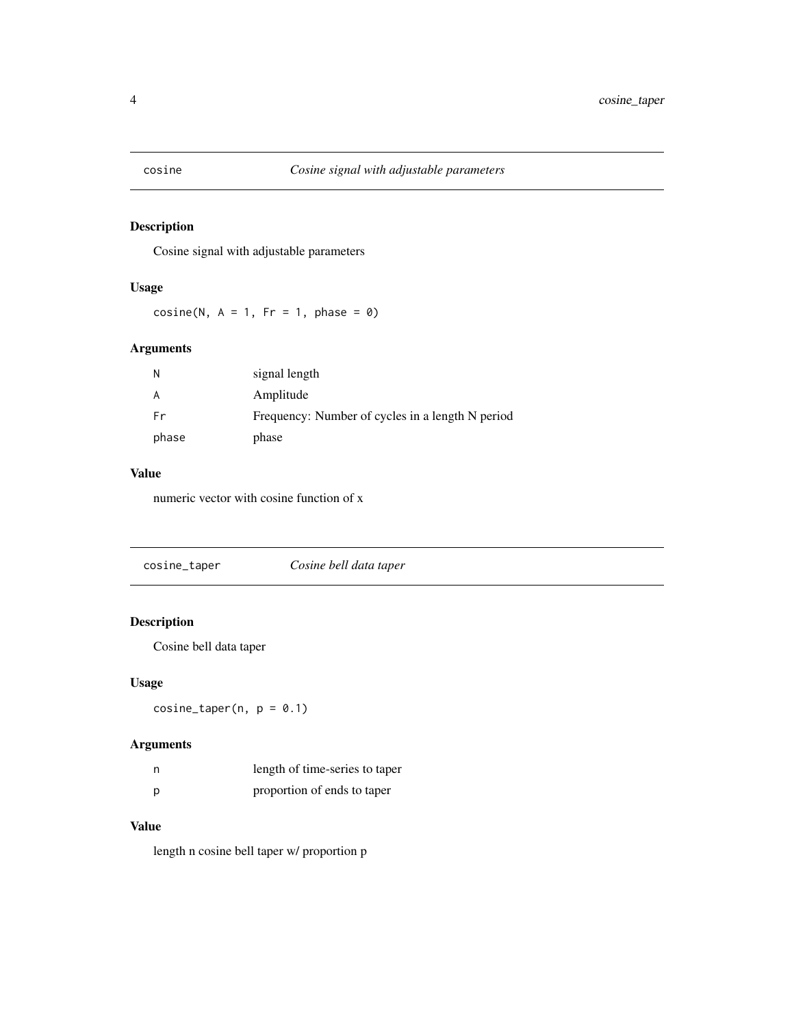<span id="page-3-0"></span>

Cosine signal with adjustable parameters

#### Usage

 $cosine(N, A = 1, Fr = 1, phase = 0)$ 

#### Arguments

| N     | signal length                                    |
|-------|--------------------------------------------------|
| A     | Amplitude                                        |
| Fr    | Frequency: Number of cycles in a length N period |
| phase | phase                                            |

# Value

numeric vector with cosine function of x

# Description

Cosine bell data taper

#### Usage

 $cosine\_taper(n, p = 0.1)$ 

# Arguments

| n | length of time-series to taper |
|---|--------------------------------|
| Ŋ | proportion of ends to taper    |

# Value

length n cosine bell taper w/ proportion p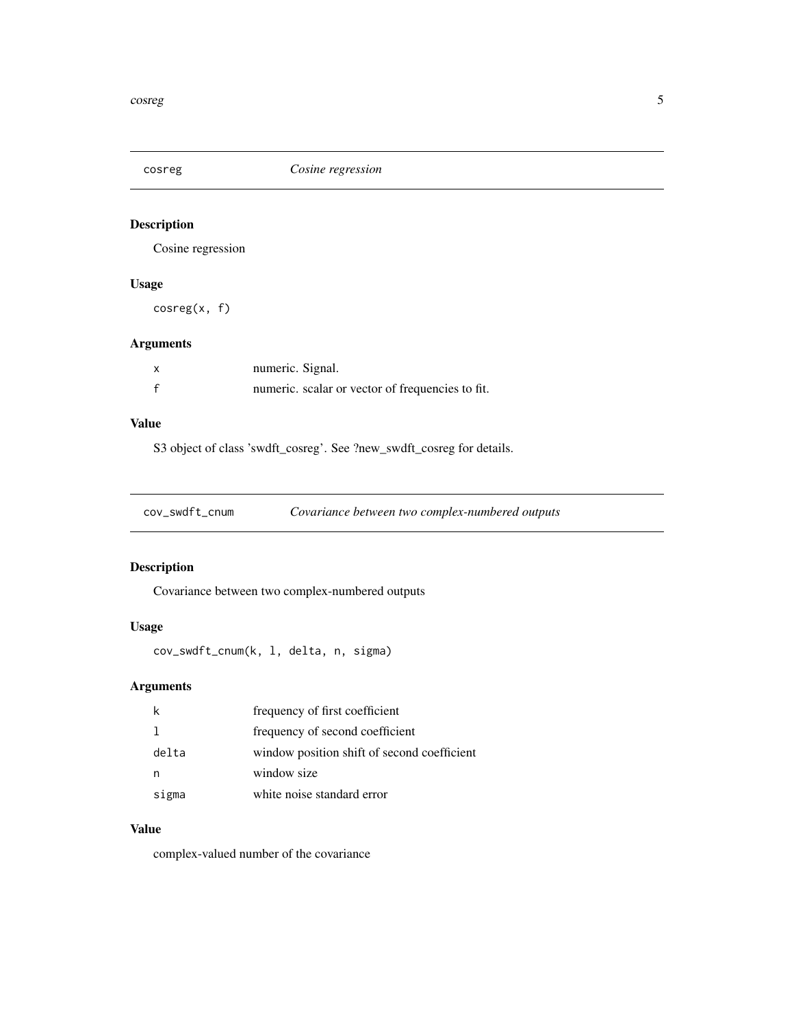<span id="page-4-0"></span>

Cosine regression

# Usage

cosreg(x, f)

#### Arguments

| $\boldsymbol{\mathsf{x}}$ | numeric. Signal.                                 |
|---------------------------|--------------------------------------------------|
|                           | numeric. scalar or vector of frequencies to fit. |

#### Value

S3 object of class 'swdft\_cosreg'. See ?new\_swdft\_cosreg for details.

cov\_swdft\_cnum *Covariance between two complex-numbered outputs*

#### Description

Covariance between two complex-numbered outputs

### Usage

```
cov_swdft_cnum(k, l, delta, n, sigma)
```
# Arguments

|       | frequency of first coefficient              |
|-------|---------------------------------------------|
|       | frequency of second coefficient             |
| delta | window position shift of second coefficient |
|       | window size                                 |
| sigma | white noise standard error                  |

# Value

complex-valued number of the covariance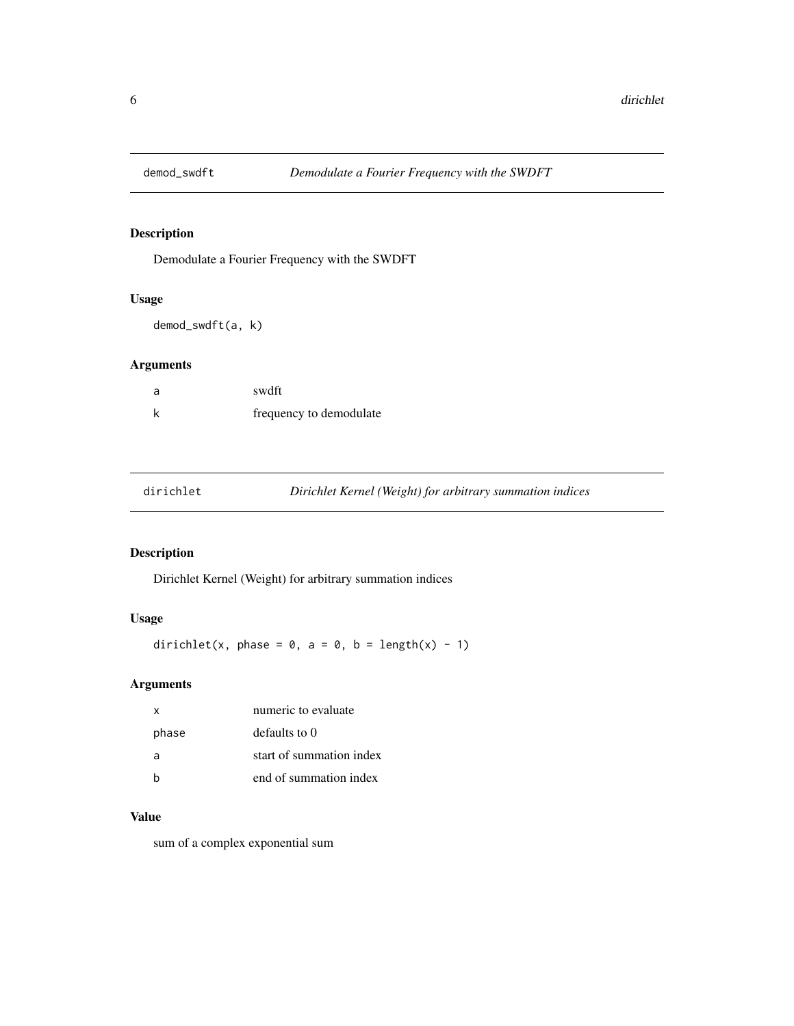<span id="page-5-0"></span>

Demodulate a Fourier Frequency with the SWDFT

# Usage

demod\_swdft(a, k)

### Arguments

| swdft                   |
|-------------------------|
| frequency to demodulate |

| dirichlet | Dirichlet Kernel (Weight) for arbitrary summation indices |
|-----------|-----------------------------------------------------------|
|-----------|-----------------------------------------------------------|

# Description

Dirichlet Kernel (Weight) for arbitrary summation indices

#### Usage

dirichlet(x, phase =  $0$ , a =  $0$ , b = length(x) - 1)

# Arguments

| x     | numeric to evaluate      |
|-------|--------------------------|
| phase | defaults to 0            |
| a     | start of summation index |
|       | end of summation index   |

#### Value

sum of a complex exponential sum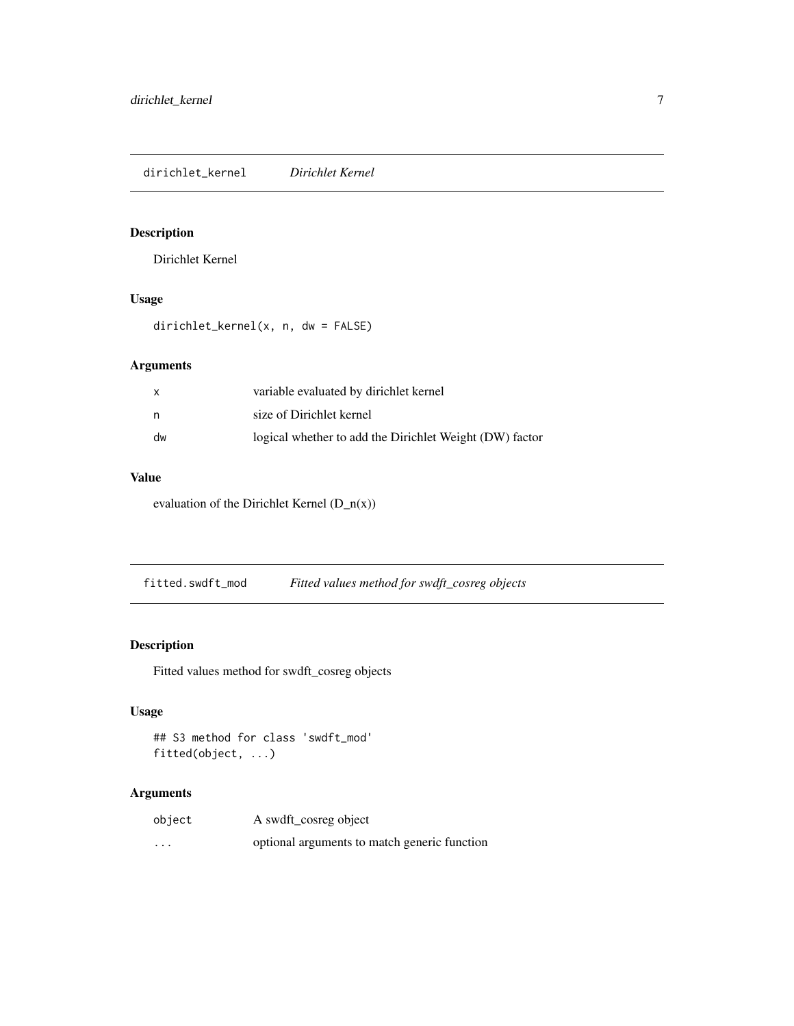<span id="page-6-0"></span>dirichlet\_kernel *Dirichlet Kernel*

#### Description

Dirichlet Kernel

# Usage

dirichlet\_kernel(x, n, dw = FALSE)

#### Arguments

| x  | variable evaluated by dirichlet kernel                  |
|----|---------------------------------------------------------|
| n  | size of Dirichlet kernel                                |
| dw | logical whether to add the Dirichlet Weight (DW) factor |

# Value

evaluation of the Dirichlet Kernel  $(D_n(x))$ 

fitted.swdft\_mod *Fitted values method for swdft\_cosreg objects*

# Description

Fitted values method for swdft\_cosreg objects

#### Usage

```
## S3 method for class 'swdft_mod'
fitted(object, ...)
```

| object  | A swdft_cosreg object                        |
|---------|----------------------------------------------|
| $\cdot$ | optional arguments to match generic function |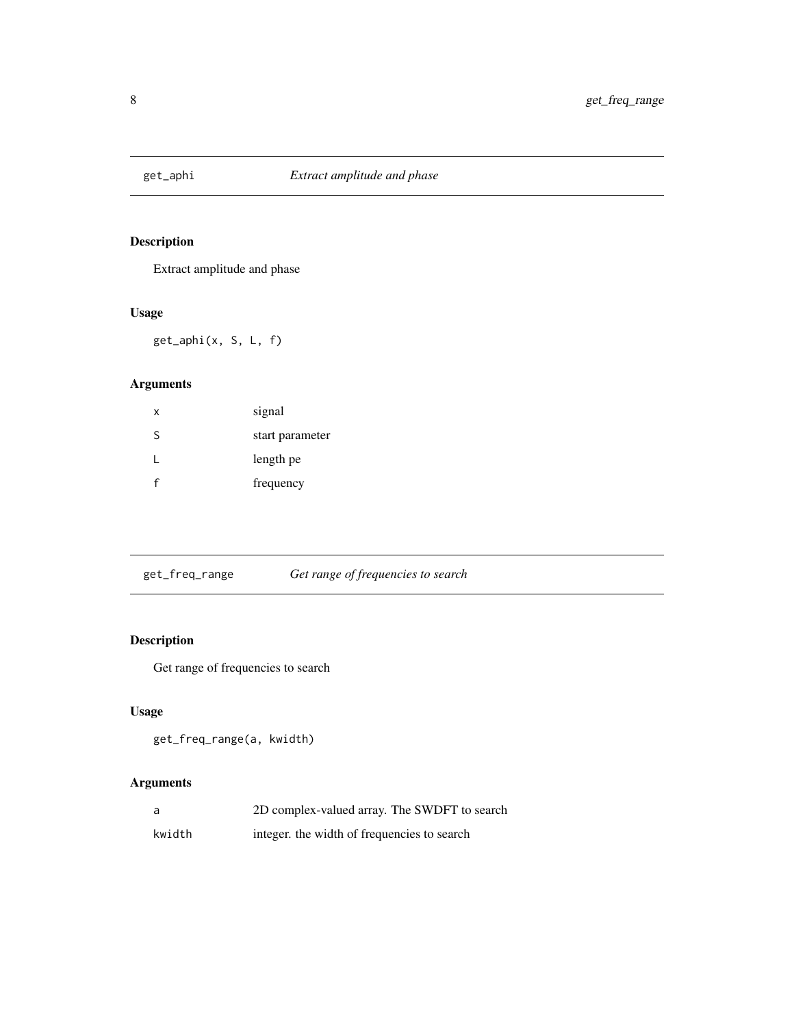<span id="page-7-0"></span>

Extract amplitude and phase

#### Usage

get\_aphi(x, S, L, f)

# Arguments

| x | signal          |
|---|-----------------|
| S | start parameter |
|   | length pe       |
|   | frequency       |

get\_freq\_range *Get range of frequencies to search*

# Description

Get range of frequencies to search

#### Usage

```
get_freq_range(a, kwidth)
```

| a      | 2D complex-valued array. The SWDFT to search |
|--------|----------------------------------------------|
| kwidth | integer, the width of frequencies to search  |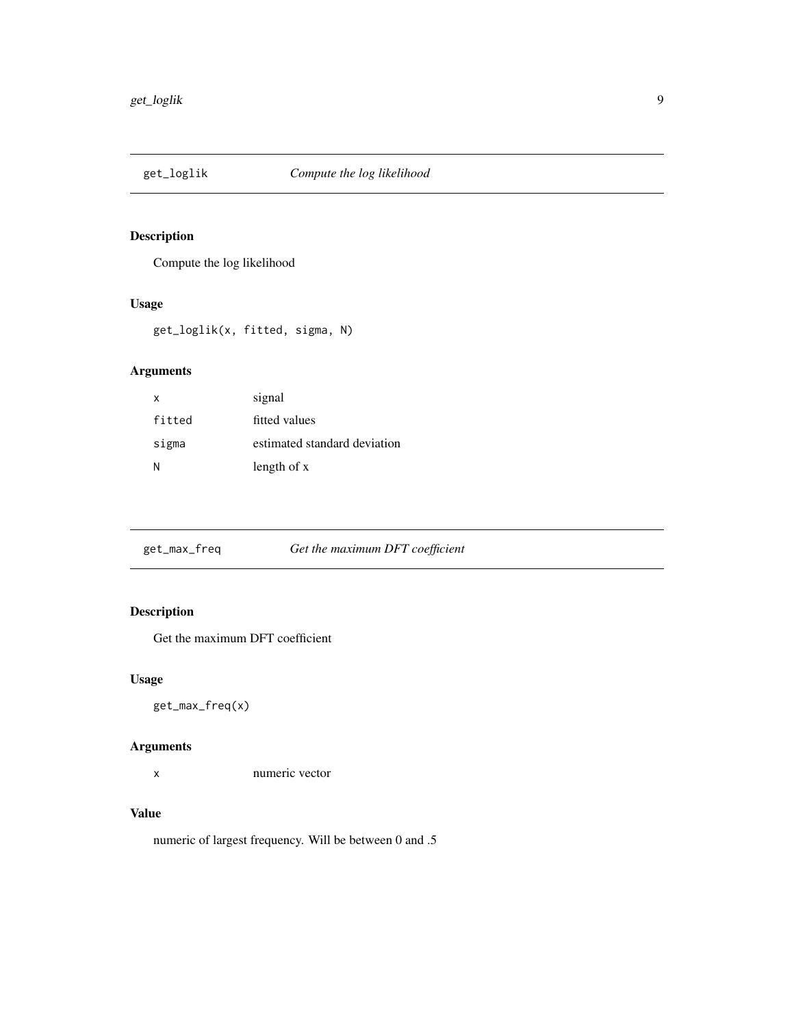<span id="page-8-0"></span>

Compute the log likelihood

#### Usage

get\_loglik(x, fitted, sigma, N)

# Arguments

| x      | signal                       |
|--------|------------------------------|
| fitted | fitted values                |
| sigma  | estimated standard deviation |
| N      | length of x                  |

get\_max\_freq *Get the maximum DFT coefficient*

# Description

Get the maximum DFT coefficient

## Usage

get\_max\_freq(x)

#### Arguments

x numeric vector

#### Value

numeric of largest frequency. Will be between 0 and .5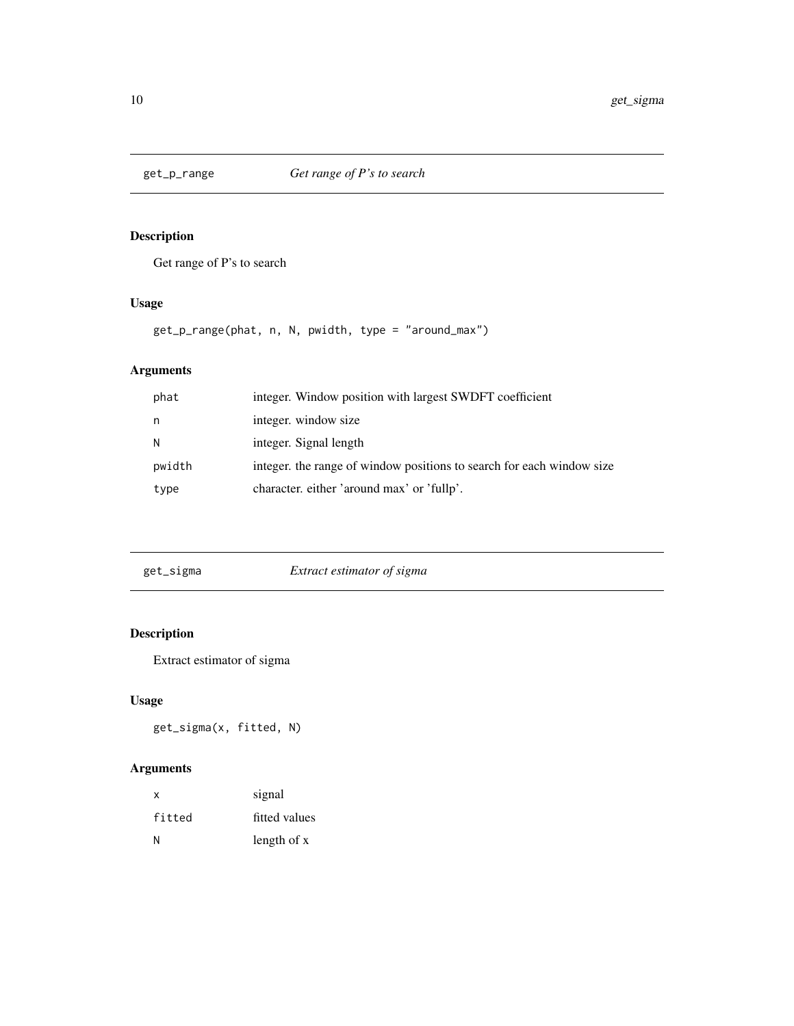<span id="page-9-0"></span>

Get range of P's to search

#### Usage

get\_p\_range(phat, n, N, pwidth, type = "around\_max")

# Arguments

| phat   | integer. Window position with largest SWDFT coefficient               |
|--------|-----------------------------------------------------------------------|
| n      | integer. window size                                                  |
| N      | integer. Signal length                                                |
| pwidth | integer, the range of window positions to search for each window size |
| type   | character, either 'around max' or 'fullp'.                            |
|        |                                                                       |

| get_sigma | Extract estimator of sigma |
|-----------|----------------------------|
|           |                            |

# Description

Extract estimator of sigma

#### Usage

get\_sigma(x, fitted, N)

| X      | signal        |
|--------|---------------|
| fitted | fitted values |
| N      | length of x   |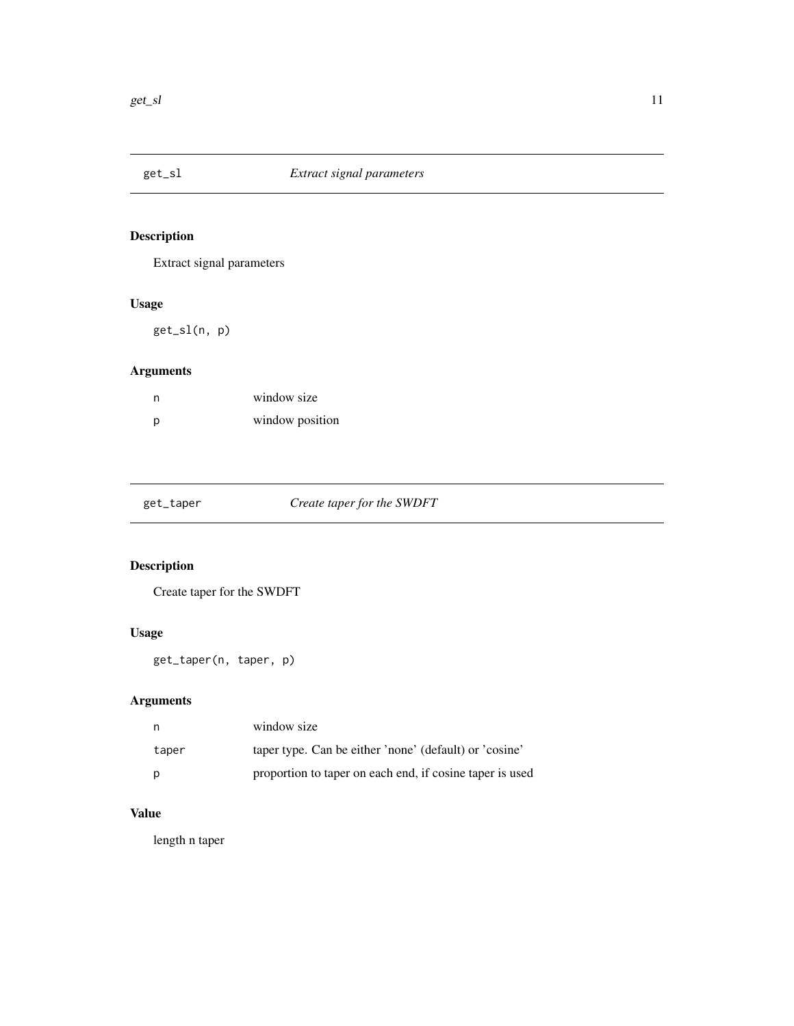<span id="page-10-0"></span>

Extract signal parameters

# Usage

get\_sl(n, p)

# Arguments

| n | window size     |
|---|-----------------|
| D | window position |

| get_taper |  |  |  |
|-----------|--|--|--|
|           |  |  |  |

# Create taper for the SWDFT

# Description

Create taper for the SWDFT

# Usage

get\_taper(n, taper, p)

# Arguments

| n.    | window size                                              |
|-------|----------------------------------------------------------|
| taper | taper type. Can be either 'none' (default) or 'cosine'   |
| p     | proportion to taper on each end, if cosine taper is used |

# Value

length n taper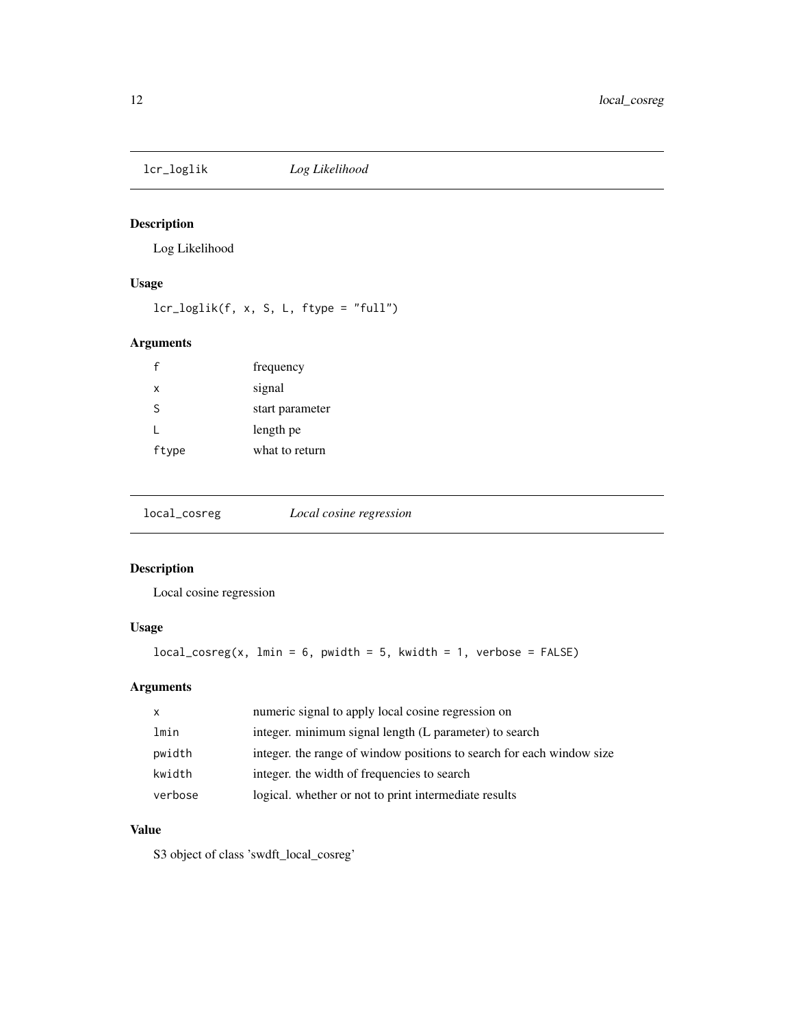<span id="page-11-0"></span>

Log Likelihood

#### Usage

lcr\_loglik(f, x, S, L, ftype = "full")

# Arguments

| $\mathsf{f}$ | frequency       |
|--------------|-----------------|
| $\mathsf{x}$ | signal          |
| S            | start parameter |
|              | length pe       |
| ftype        | what to return  |

local\_cosreg *Local cosine regression*

#### Description

Local cosine regression

# Usage

 $local\_cosreg(x, lmin = 6, pwidth = 5, kwidth = 1, verbose = FALSE)$ 

# Arguments

| $\mathsf{x}$ | numeric signal to apply local cosine regression on                    |
|--------------|-----------------------------------------------------------------------|
| lmin         | integer. minimum signal length (L parameter) to search                |
| pwidth       | integer, the range of window positions to search for each window size |
| kwidth       | integer, the width of frequencies to search                           |
| verbose      | logical. whether or not to print intermediate results                 |

# Value

S3 object of class 'swdft\_local\_cosreg'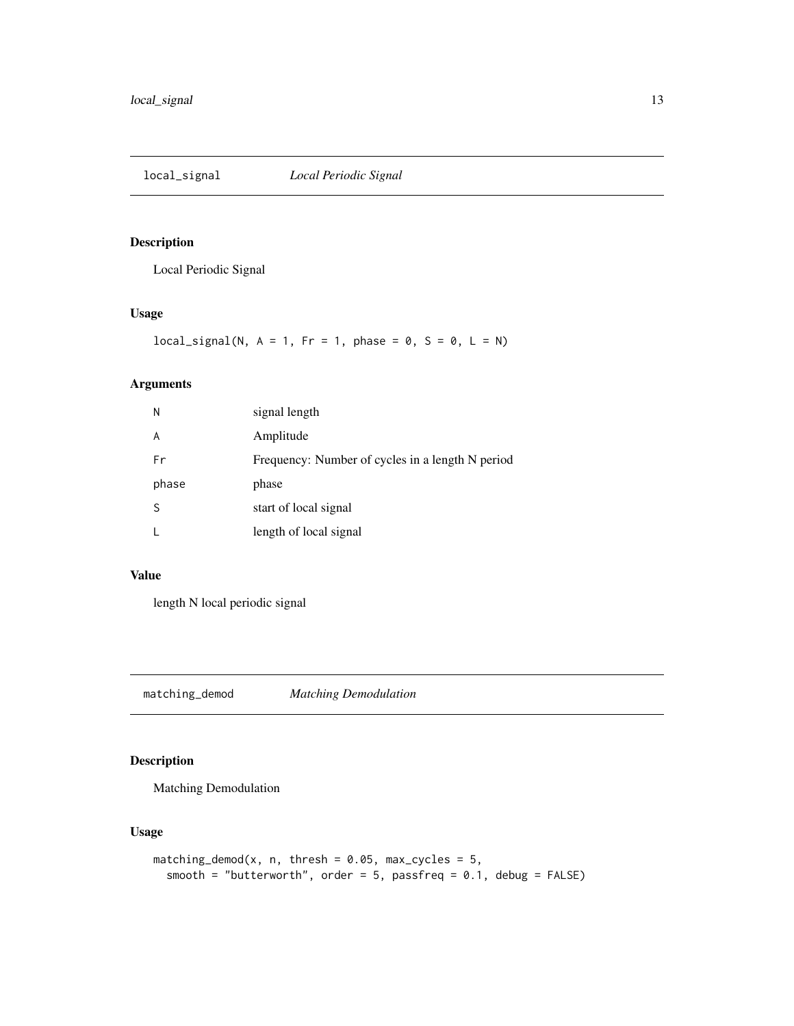<span id="page-12-0"></span>local\_signal *Local Periodic Signal*

# Description

Local Periodic Signal

# Usage

 $local\_signal(N, A = 1, Fr = 1, phase = 0, S = 0, L = N)$ 

# Arguments

| N     | signal length                                    |
|-------|--------------------------------------------------|
| A     | Amplitude                                        |
| Fr    | Frequency: Number of cycles in a length N period |
| phase | phase                                            |
| S     | start of local signal                            |
|       | length of local signal                           |

#### Value

length N local periodic signal

matching\_demod *Matching Demodulation*

#### Description

Matching Demodulation

#### Usage

```
matching_demod(x, n, thresh = 0.05, max_cycles = 5,
 smooth = "butterworth", order = 5, passfreq = 0.1, debug = FALSE)
```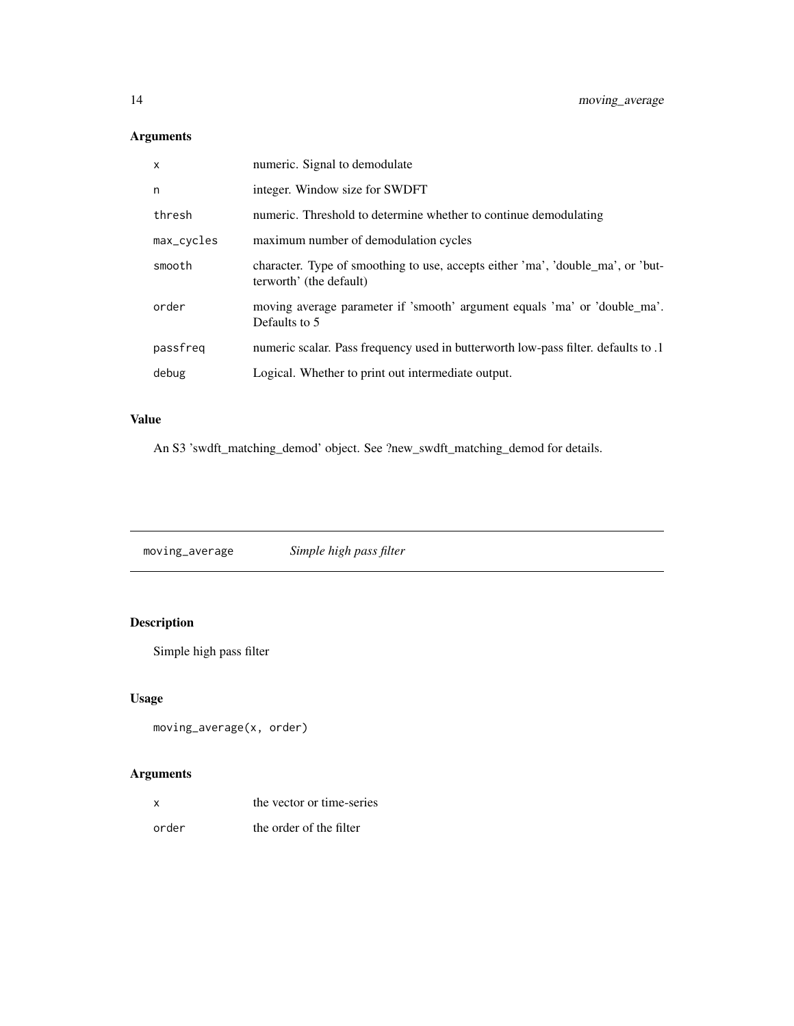| $\mathsf{x}$ | numeric. Signal to demodulate                                                                              |
|--------------|------------------------------------------------------------------------------------------------------------|
| n            | integer. Window size for SWDFT                                                                             |
| thresh       | numeric. Threshold to determine whether to continue demodulating                                           |
| max_cycles   | maximum number of demodulation cycles                                                                      |
| smooth       | character. Type of smoothing to use, accepts either 'ma', 'double_ma', or 'but-<br>terworth' (the default) |
| order        | moving average parameter if 'smooth' argument equals 'ma' or 'double_ma'.<br>Defaults to 5                 |
| passfreq     | numeric scalar. Pass frequency used in butterworth low-pass filter. defaults to .1                         |
| debug        | Logical. Whether to print out intermediate output.                                                         |

# Value

An S3 'swdft\_matching\_demod' object. See ?new\_swdft\_matching\_demod for details.

moving\_average *Simple high pass filter*

# Description

Simple high pass filter

# Usage

```
moving_average(x, order)
```

| x     | the vector or time-series |
|-------|---------------------------|
| order | the order of the filter   |

<span id="page-13-0"></span>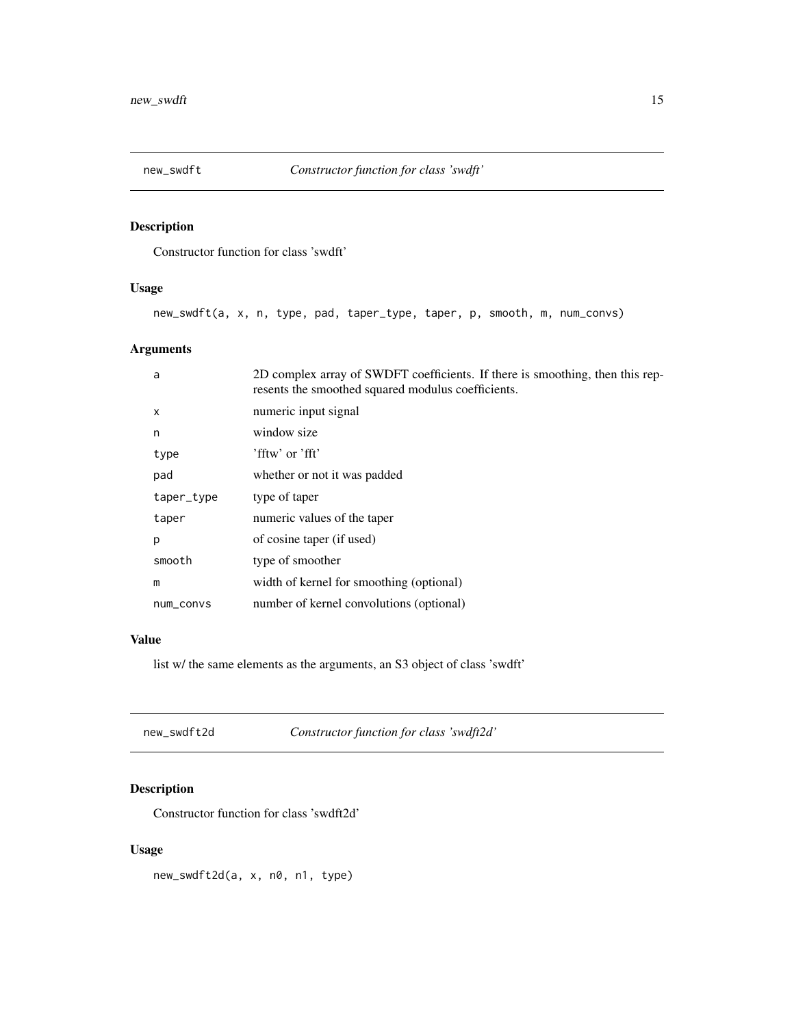<span id="page-14-0"></span>

Constructor function for class 'swdft'

#### Usage

new\_swdft(a, x, n, type, pad, taper\_type, taper, p, smooth, m, num\_convs)

# Arguments

| a          | 2D complex array of SWDFT coefficients. If there is smoothing, then this rep-<br>resents the smoothed squared modulus coefficients. |
|------------|-------------------------------------------------------------------------------------------------------------------------------------|
| X          | numeric input signal                                                                                                                |
| n          | window size                                                                                                                         |
| type       | $'$ fftw' or 'fft'                                                                                                                  |
| pad        | whether or not it was padded                                                                                                        |
| taper_type | type of taper                                                                                                                       |
| taper      | numeric values of the taper                                                                                                         |
| p          | of cosine taper (if used)                                                                                                           |
| smooth     | type of smoother                                                                                                                    |
| m          | width of kernel for smoothing (optional)                                                                                            |
| num_convs  | number of kernel convolutions (optional)                                                                                            |
|            |                                                                                                                                     |

#### Value

list w/ the same elements as the arguments, an S3 object of class 'swdft'

| new swdft2d | Constructor function for class 'swdft2d' |
|-------------|------------------------------------------|
|-------------|------------------------------------------|

# Description

Constructor function for class 'swdft2d'

# Usage

new\_swdft2d(a, x, n0, n1, type)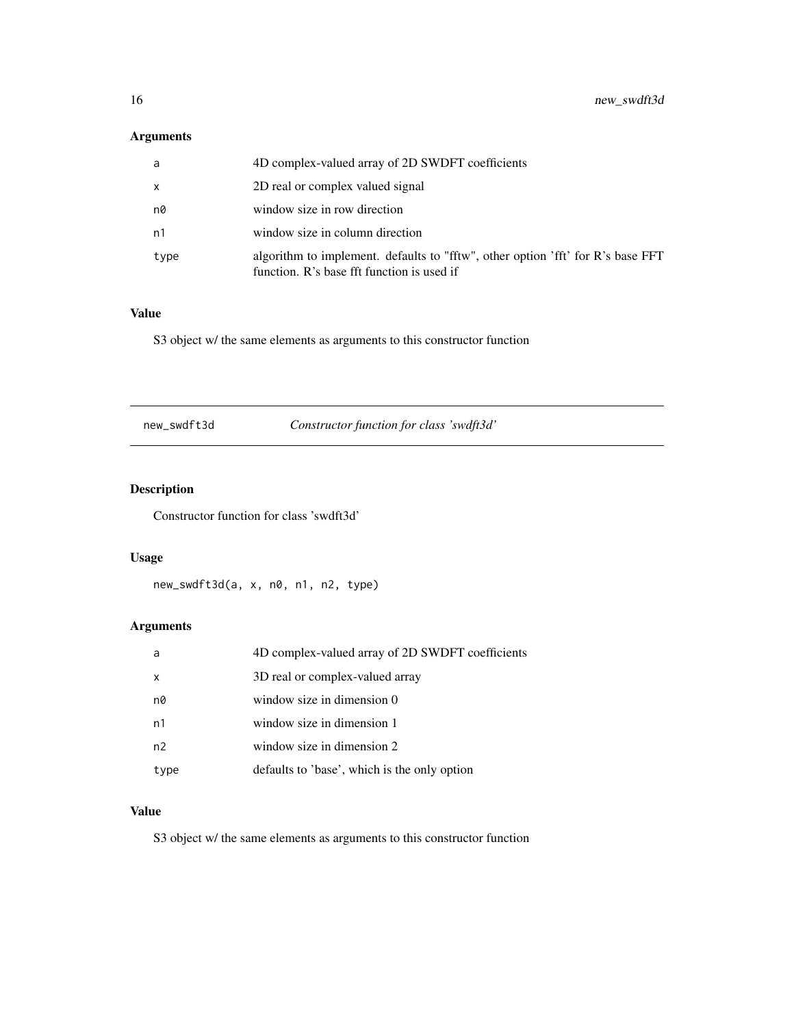<span id="page-15-0"></span>

| a    | 4D complex-valued array of 2D SWDFT coefficients                                                                              |
|------|-------------------------------------------------------------------------------------------------------------------------------|
| X    | 2D real or complex valued signal                                                                                              |
| n0   | window size in row direction                                                                                                  |
| n1   | window size in column direction                                                                                               |
| type | algorithm to implement. defaults to "fftw", other option 'fft' for R's base FFT<br>function. R's base fft function is used if |

# Value

S3 object w/ the same elements as arguments to this constructor function

new\_swdft3d *Constructor function for class 'swdft3d'*

# Description

Constructor function for class 'swdft3d'

# Usage

new\_swdft3d(a, x, n0, n1, n2, type)

# Arguments

| a              | 4D complex-valued array of 2D SWDFT coefficients |
|----------------|--------------------------------------------------|
| $\mathsf{x}$   | 3D real or complex-valued array                  |
| n0             | window size in dimension 0                       |
| n1             | window size in dimension 1                       |
| n <sub>2</sub> | window size in dimension 2                       |
| type           | defaults to 'base', which is the only option     |

# Value

S3 object w/ the same elements as arguments to this constructor function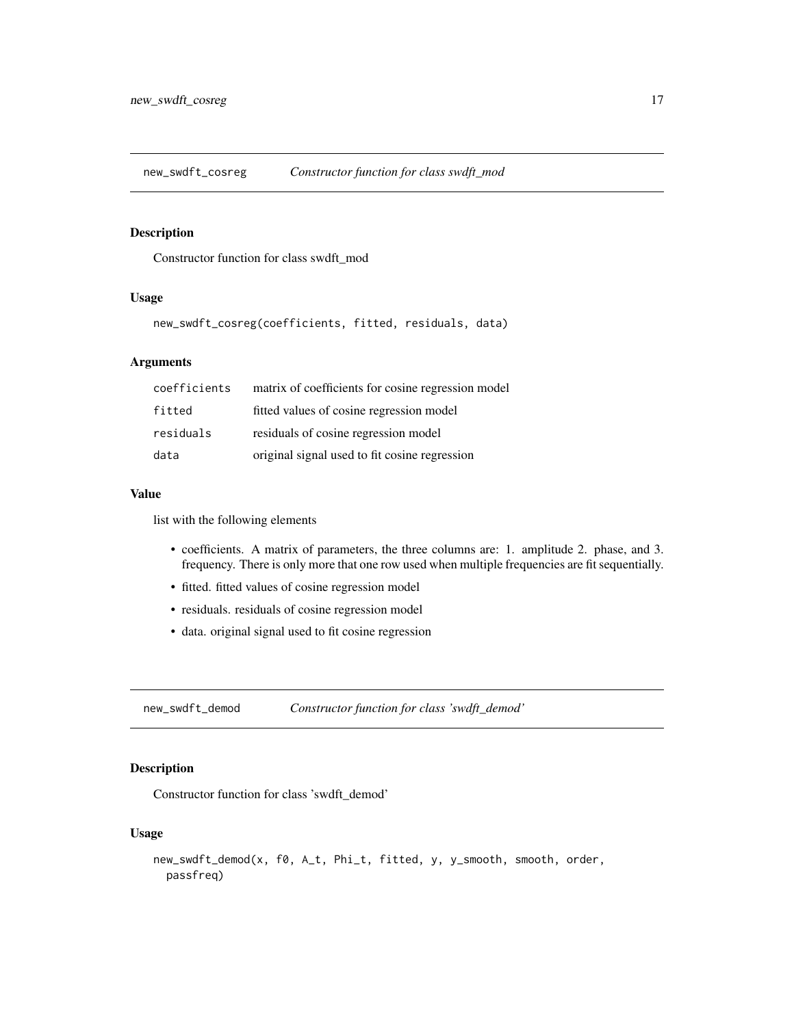<span id="page-16-0"></span>new\_swdft\_cosreg *Constructor function for class swdft\_mod*

# Description

Constructor function for class swdft\_mod

#### Usage

new\_swdft\_cosreg(coefficients, fitted, residuals, data)

#### Arguments

| coefficients | matrix of coefficients for cosine regression model |
|--------------|----------------------------------------------------|
| fitted       | fitted values of cosine regression model           |
| residuals    | residuals of cosine regression model               |
| data         | original signal used to fit cosine regression      |

#### Value

list with the following elements

- coefficients. A matrix of parameters, the three columns are: 1. amplitude 2. phase, and 3. frequency. There is only more that one row used when multiple frequencies are fit sequentially.
- fitted. fitted values of cosine regression model
- residuals. residuals of cosine regression model
- data. original signal used to fit cosine regression

new\_swdft\_demod *Constructor function for class 'swdft\_demod'*

#### Description

Constructor function for class 'swdft\_demod'

#### Usage

```
new_swdft_demod(x, f0, A_t, Phi_t, fitted, y, y_smooth, smooth, order,
 passfreq)
```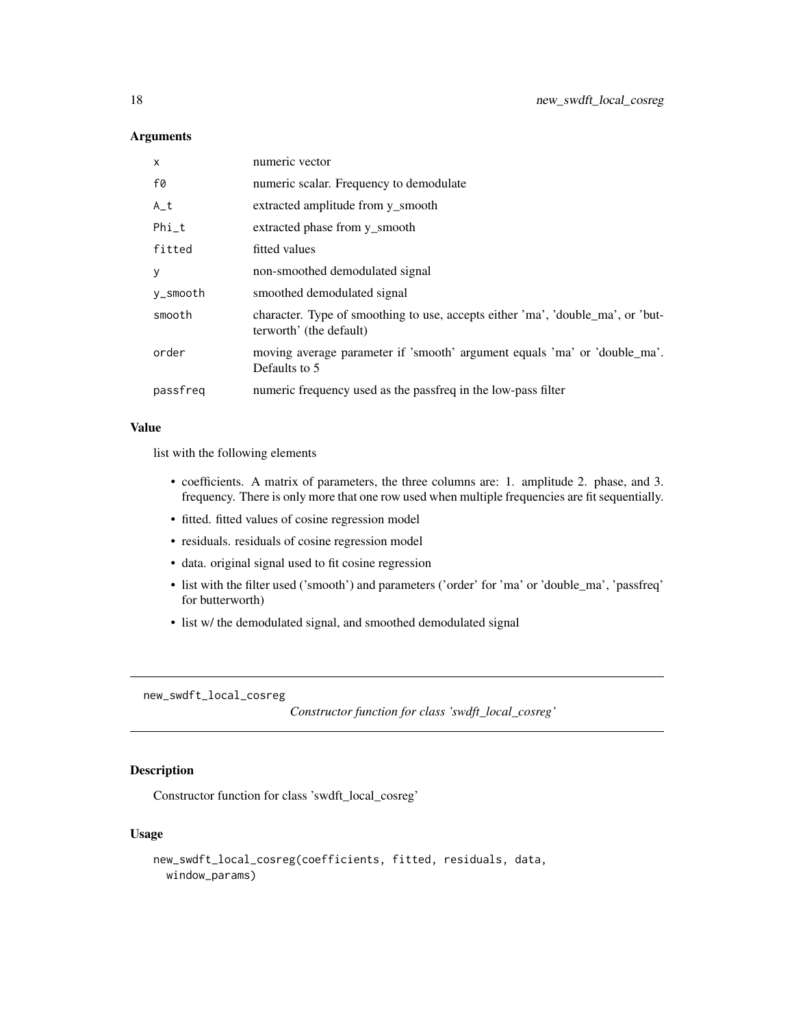<span id="page-17-0"></span>

| X        | numeric vector                                                                                             |
|----------|------------------------------------------------------------------------------------------------------------|
| f0       | numeric scalar. Frequency to demodulate                                                                    |
| $A_t$    | extracted amplitude from y smooth                                                                          |
| Phi_t    | extracted phase from y smooth                                                                              |
| fitted   | fitted values                                                                                              |
| У        | non-smoothed demodulated signal                                                                            |
| y_smooth | smoothed demodulated signal                                                                                |
| smooth   | character. Type of smoothing to use, accepts either 'ma', 'double_ma', or 'but-<br>terworth' (the default) |
| order    | moving average parameter if 'smooth' argument equals 'ma' or 'double_ma'.<br>Defaults to 5                 |
| passfreg | numeric frequency used as the passfreq in the low-pass filter                                              |

#### Value

list with the following elements

- coefficients. A matrix of parameters, the three columns are: 1. amplitude 2. phase, and 3. frequency. There is only more that one row used when multiple frequencies are fit sequentially.
- fitted. fitted values of cosine regression model
- residuals. residuals of cosine regression model
- data. original signal used to fit cosine regression
- list with the filter used ('smooth') and parameters ('order' for 'ma' or 'double\_ma', 'passfreq' for butterworth)
- list w/ the demodulated signal, and smoothed demodulated signal

new\_swdft\_local\_cosreg

*Constructor function for class 'swdft\_local\_cosreg'*

# **Description**

Constructor function for class 'swdft\_local\_cosreg'

### Usage

```
new_swdft_local_cosreg(coefficients, fitted, residuals, data,
 window_params)
```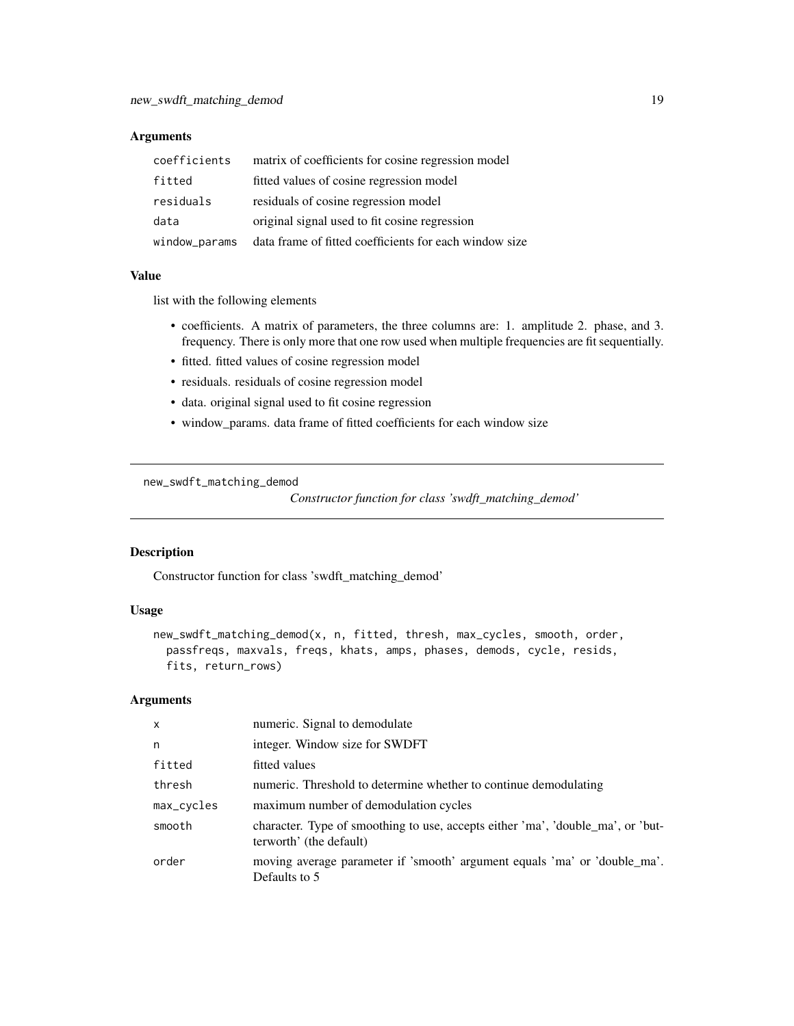<span id="page-18-0"></span>

| coefficients  | matrix of coefficients for cosine regression model     |
|---------------|--------------------------------------------------------|
| fitted        | fitted values of cosine regression model               |
| residuals     | residuals of cosine regression model                   |
| data          | original signal used to fit cosine regression          |
| window_params | data frame of fitted coefficients for each window size |

#### Value

list with the following elements

- coefficients. A matrix of parameters, the three columns are: 1. amplitude 2. phase, and 3. frequency. There is only more that one row used when multiple frequencies are fit sequentially.
- fitted. fitted values of cosine regression model
- residuals. residuals of cosine regression model
- data. original signal used to fit cosine regression
- window\_params. data frame of fitted coefficients for each window size

new\_swdft\_matching\_demod

*Constructor function for class 'swdft\_matching\_demod'*

#### Description

Constructor function for class 'swdft\_matching\_demod'

#### Usage

```
new_swdft_matching_demod(x, n, fitted, thresh, max_cycles, smooth, order,
  passfreqs, maxvals, freqs, khats, amps, phases, demods, cycle, resids,
  fits, return_rows)
```

| $\mathsf{x}$ | numeric. Signal to demodulate                                                                              |
|--------------|------------------------------------------------------------------------------------------------------------|
| n            | integer. Window size for SWDFT                                                                             |
| fitted       | fitted values                                                                                              |
| thresh       | numeric. Threshold to determine whether to continue demodulating                                           |
| max_cycles   | maximum number of demodulation cycles                                                                      |
| smooth       | character. Type of smoothing to use, accepts either 'ma', 'double_ma', or 'but-<br>terworth' (the default) |
| order        | moving average parameter if 'smooth' argument equals 'ma' or 'double_ma'.<br>Defaults to 5                 |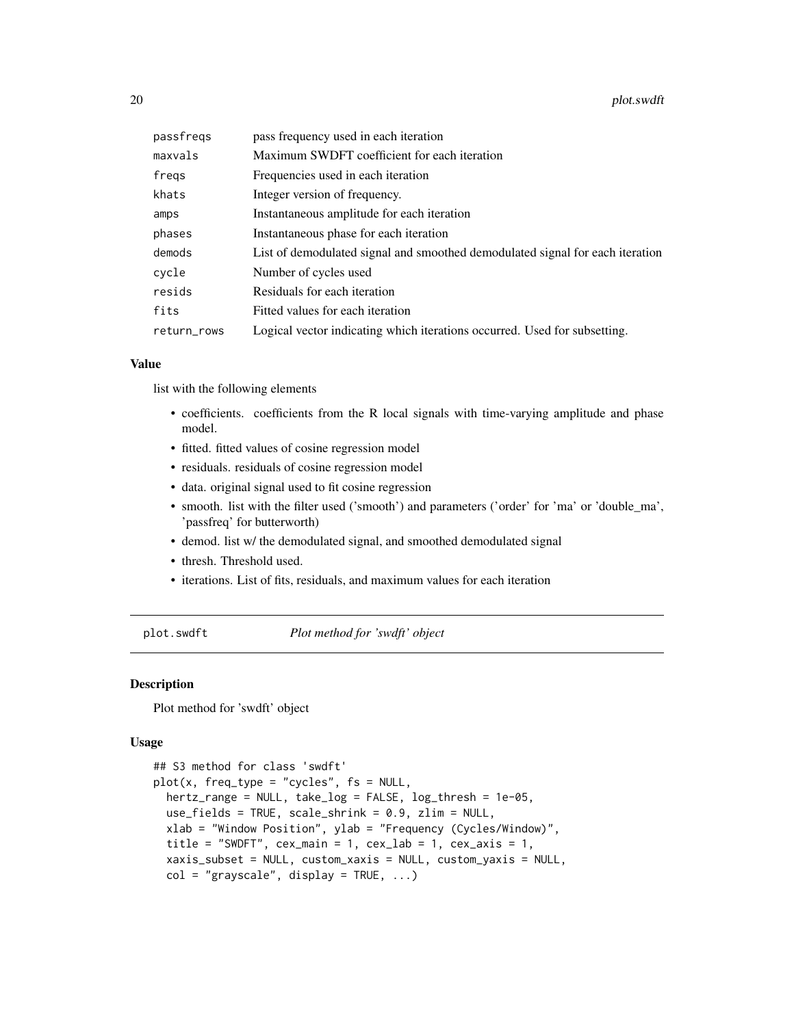<span id="page-19-0"></span>

| passfregs   | pass frequency used in each iteration                                         |
|-------------|-------------------------------------------------------------------------------|
| maxvals     | Maximum SWDFT coefficient for each iteration                                  |
| fregs       | Frequencies used in each iteration                                            |
| khats       | Integer version of frequency.                                                 |
| amps        | Instantaneous amplitude for each iteration                                    |
| phases      | Instantaneous phase for each iteration                                        |
| demods      | List of demodulated signal and smoothed demodulated signal for each iteration |
| cycle       | Number of cycles used                                                         |
| resids      | Residuals for each iteration                                                  |
| fits        | Fitted values for each iteration                                              |
| return_rows | Logical vector indicating which iterations occurred. Used for subsetting.     |

#### Value

list with the following elements

- coefficients. coefficients from the R local signals with time-varying amplitude and phase model.
- fitted. fitted values of cosine regression model
- residuals. residuals of cosine regression model
- data. original signal used to fit cosine regression
- smooth. list with the filter used ('smooth') and parameters ('order' for 'ma' or 'double\_ma', 'passfreq' for butterworth)
- demod. list w/ the demodulated signal, and smoothed demodulated signal
- thresh. Threshold used.
- iterations. List of fits, residuals, and maximum values for each iteration

plot.swdft *Plot method for 'swdft' object*

#### Description

Plot method for 'swdft' object

#### Usage

```
## S3 method for class 'swdft'
plot(x, freq_type = "cycles", fs = NULL,hertz_range = NULL, take_log = FALSE, log_thresh = 1e-05,
 use_fields = TRUE, scale_shrink = 0.9, zlim = NULL,
 xlab = "Window Position", ylab = "Frequency (Cycles/Window)",
  title = "SWDFT", cex\_main = 1, cex\_lab = 1, cex\_axis = 1,
 xaxis_subset = NULL, custom_xaxis = NULL, custom_yaxis = NULL,
 col = "grayscale", display = TRUE, ...)
```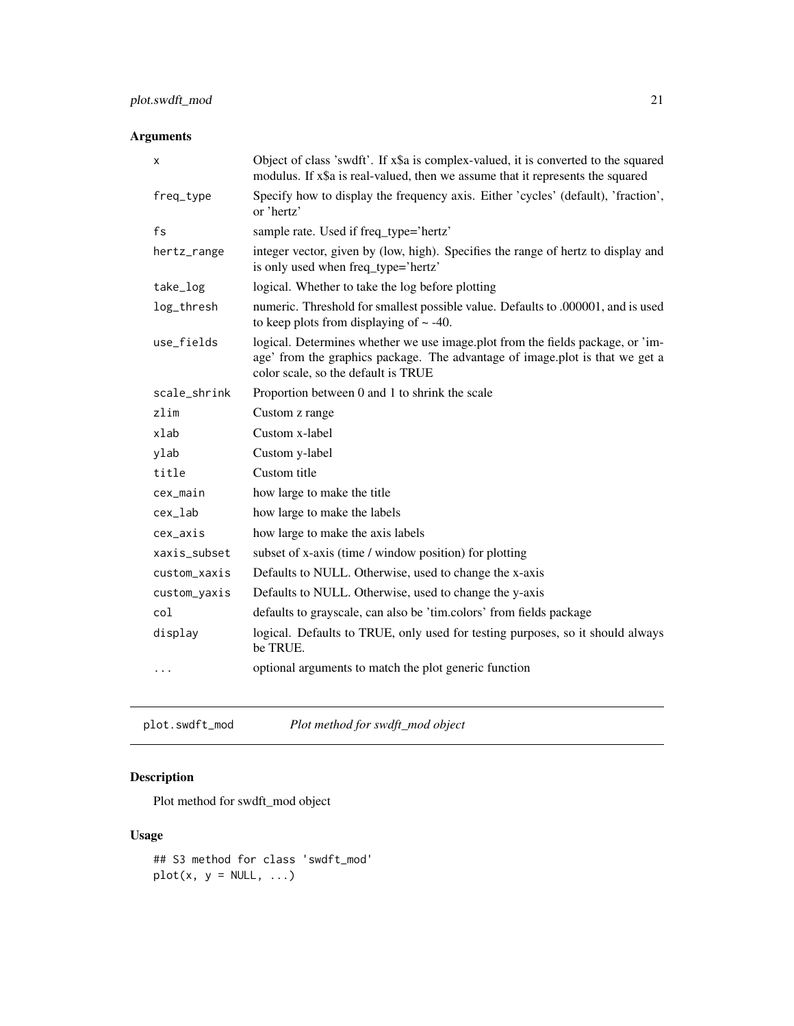<span id="page-20-0"></span>

| x            | Object of class 'swdft'. If x\$a is complex-valued, it is converted to the squared<br>modulus. If x\$a is real-valued, then we assume that it represents the squared                                  |
|--------------|-------------------------------------------------------------------------------------------------------------------------------------------------------------------------------------------------------|
| freq_type    | Specify how to display the frequency axis. Either 'cycles' (default), 'fraction',<br>or 'hertz'                                                                                                       |
| fs           | sample rate. Used if freq_type='hertz'                                                                                                                                                                |
| hertz_range  | integer vector, given by (low, high). Specifies the range of hertz to display and<br>is only used when freq_type='hertz'                                                                              |
| take_log     | logical. Whether to take the log before plotting                                                                                                                                                      |
| log_thresh   | numeric. Threshold for smallest possible value. Defaults to .000001, and is used<br>to keep plots from displaying of $\sim$ -40.                                                                      |
| use_fields   | logical. Determines whether we use image.plot from the fields package, or 'im-<br>age' from the graphics package. The advantage of image plot is that we get a<br>color scale, so the default is TRUE |
| scale_shrink | Proportion between 0 and 1 to shrink the scale                                                                                                                                                        |
| zlim         | Custom z range                                                                                                                                                                                        |
| xlab         | Custom x-label                                                                                                                                                                                        |
| ylab         | Custom y-label                                                                                                                                                                                        |
| title        | Custom title                                                                                                                                                                                          |
| cex_main     | how large to make the title                                                                                                                                                                           |
| cex_lab      | how large to make the labels                                                                                                                                                                          |
| cex_axis     | how large to make the axis labels                                                                                                                                                                     |
| xaxis_subset | subset of x-axis (time / window position) for plotting                                                                                                                                                |
| custom_xaxis | Defaults to NULL. Otherwise, used to change the x-axis                                                                                                                                                |
| custom_yaxis | Defaults to NULL. Otherwise, used to change the y-axis                                                                                                                                                |
| col          | defaults to grayscale, can also be 'tim.colors' from fields package                                                                                                                                   |
| display      | logical. Defaults to TRUE, only used for testing purposes, so it should always<br>be TRUE.                                                                                                            |
| .            | optional arguments to match the plot generic function                                                                                                                                                 |

plot.swdft\_mod *Plot method for swdft\_mod object*

# Description

Plot method for swdft\_mod object

# Usage

```
## S3 method for class 'swdft_mod'
plot(x, y = NULL, ...)
```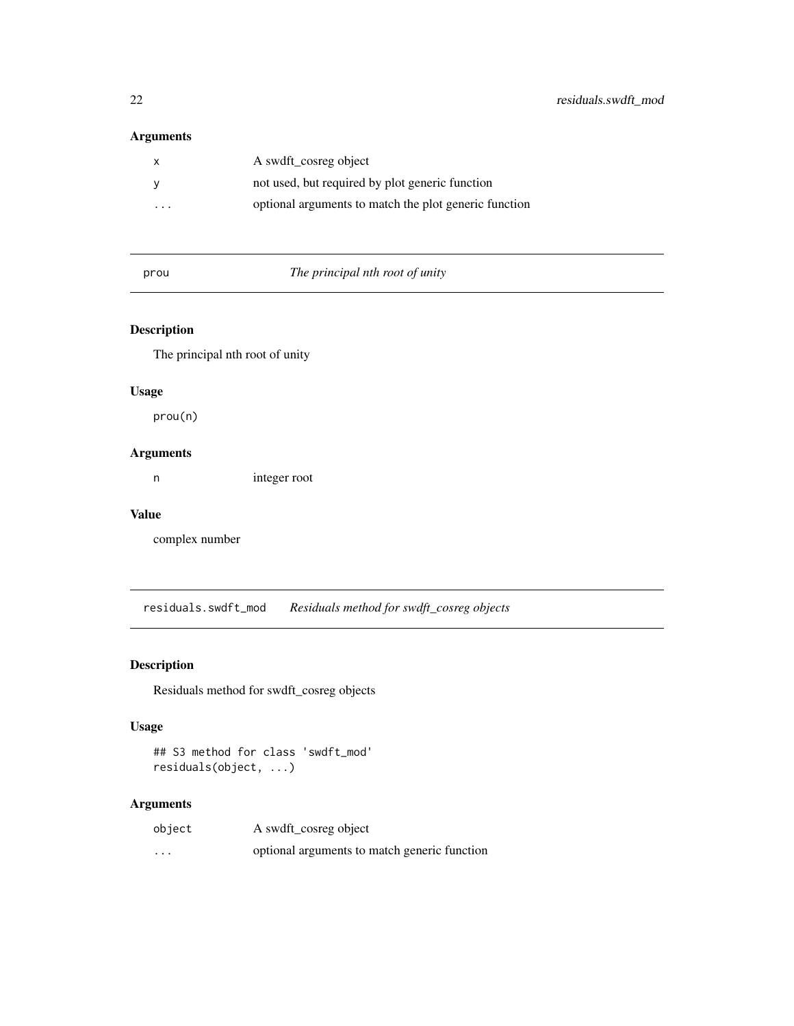<span id="page-21-0"></span>

|                         | A swdft cosreg object                                 |
|-------------------------|-------------------------------------------------------|
|                         | not used, but required by plot generic function       |
| $\cdot$ $\cdot$ $\cdot$ | optional arguments to match the plot generic function |

prou *The principal nth root of unity*

# Description

The principal nth root of unity

#### Usage

prou(n)

#### Arguments

n integer root

#### Value

complex number

residuals.swdft\_mod *Residuals method for swdft\_cosreg objects*

# Description

Residuals method for swdft\_cosreg objects

# Usage

```
## S3 method for class 'swdft_mod'
residuals(object, ...)
```

| object   | A swdft_cosreg object                        |
|----------|----------------------------------------------|
| $\cdots$ | optional arguments to match generic function |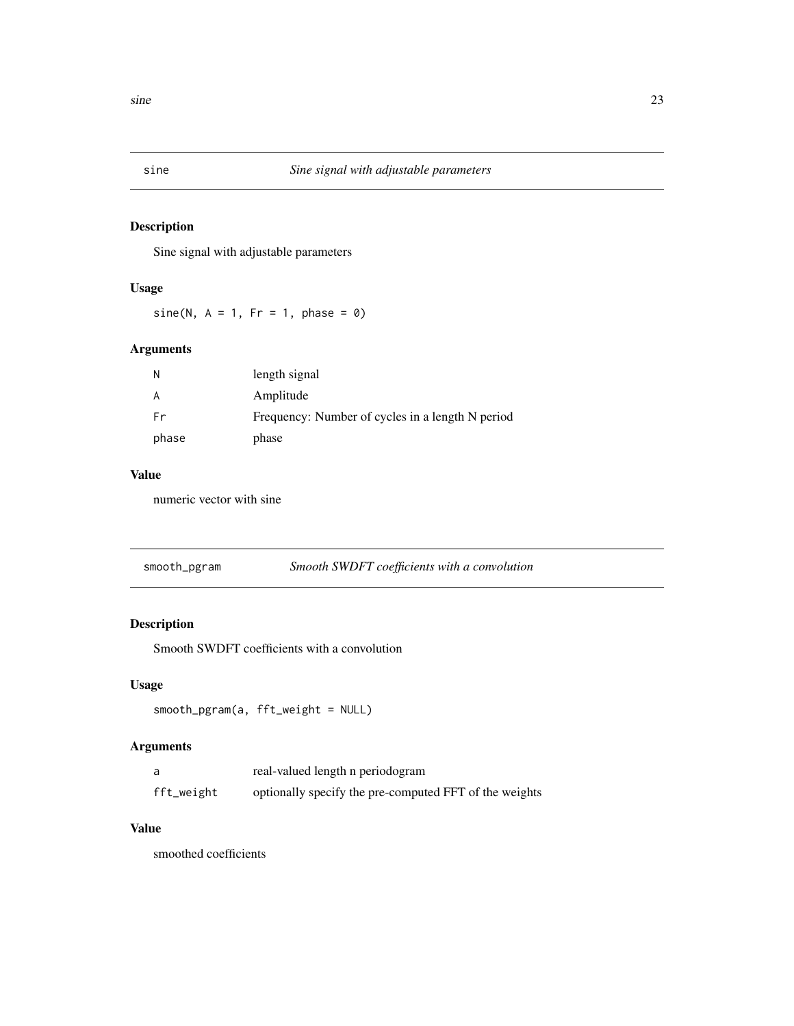<span id="page-22-0"></span>

Sine signal with adjustable parameters

#### Usage

sine(N,  $A = 1$ ,  $Fr = 1$ , phase = 0)

# Arguments

| N     | length signal                                    |
|-------|--------------------------------------------------|
| A     | Amplitude                                        |
| Fr    | Frequency: Number of cycles in a length N period |
| phase | phase                                            |

# Value

numeric vector with sine

| smooth_pgram | Smooth SWDFT coefficients with a convolution |
|--------------|----------------------------------------------|
|              |                                              |

# Description

Smooth SWDFT coefficients with a convolution

#### Usage

```
smooth_pgram(a, fft_weight = NULL)
```
# Arguments

| a          | real-valued length n periodogram                       |
|------------|--------------------------------------------------------|
| fft_weight | optionally specify the pre-computed FFT of the weights |

# Value

smoothed coefficients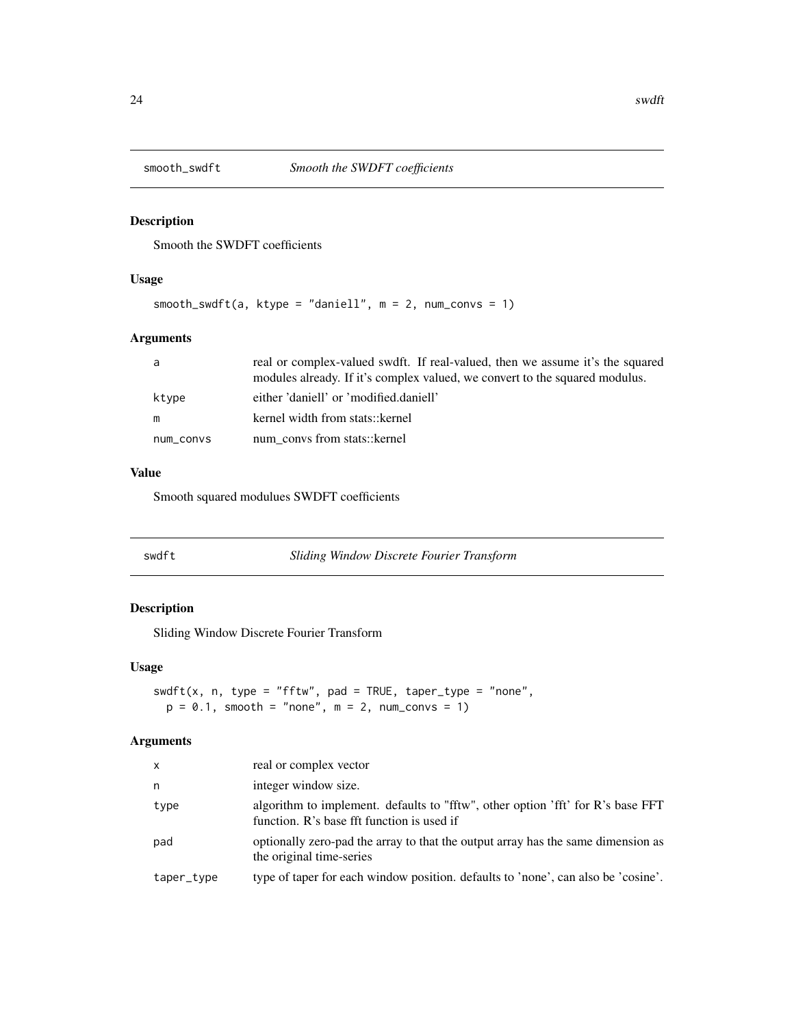<span id="page-23-0"></span>

Smooth the SWDFT coefficients

#### Usage

```
smooth_swdft(a, ktype = "daniell", m = 2, num_convs = 1)
```
# Arguments

| a         | real or complex-valued swdft. If real-valued, then we assume it's the squared |
|-----------|-------------------------------------------------------------------------------|
|           | modules already. If it's complex valued, we convert to the squared modulus.   |
| ktype     | either 'daniell' or 'modified.daniell'                                        |
| m         | kernel width from stats:: kernel                                              |
| num convs | num convs from stats:: kernel                                                 |

#### Value

Smooth squared modulues SWDFT coefficients

|--|

#### Description

Sliding Window Discrete Fourier Transform

#### Usage

```
swdft(x, n, type = "fftw", pad = TRUE, taper_type = "none",
 p = 0.1, smooth = "none", m = 2, num_convs = 1)
```

| $\mathsf{x}$ | real or complex vector                                                                                                        |
|--------------|-------------------------------------------------------------------------------------------------------------------------------|
| n            | integer window size.                                                                                                          |
| type         | algorithm to implement. defaults to "fftw", other option 'fft' for R's base FFT<br>function. R's base fft function is used if |
| pad          | optionally zero-pad the array to that the output array has the same dimension as<br>the original time-series                  |
| taper_type   | type of taper for each window position. defaults to 'none', can also be 'cosine'.                                             |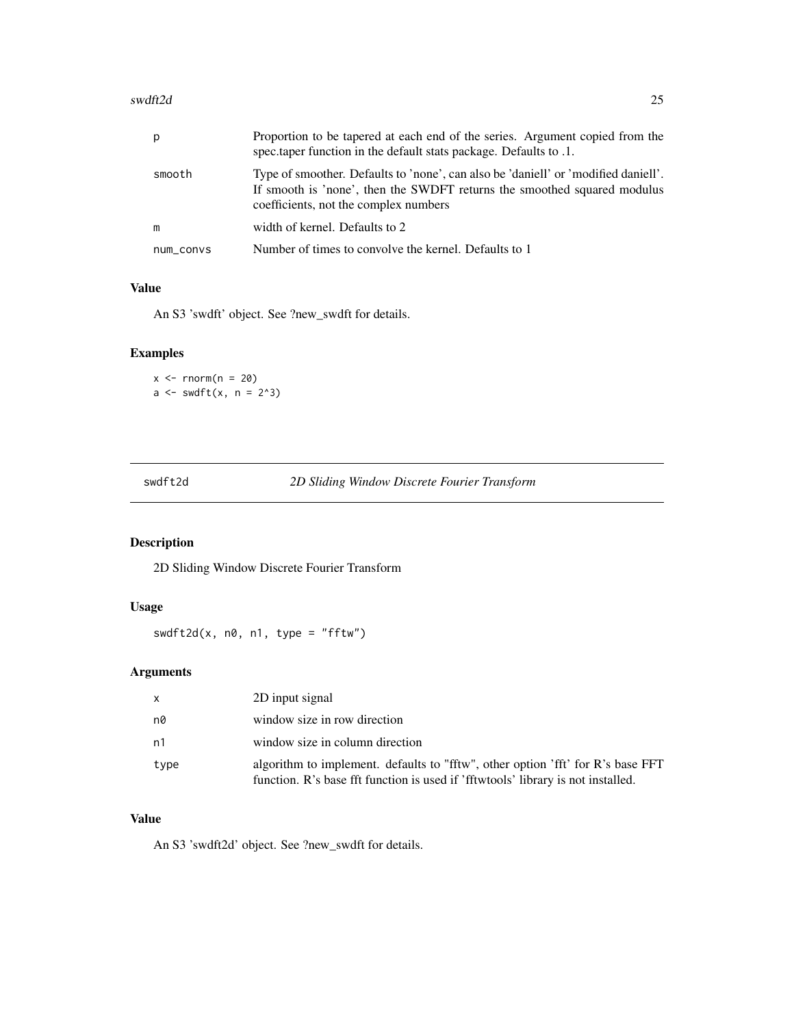#### <span id="page-24-0"></span>swdft2d 25

| p         | Proportion to be tapered at each end of the series. Argument copied from the<br>spec.taper function in the default stats package. Defaults to .1.                                                       |
|-----------|---------------------------------------------------------------------------------------------------------------------------------------------------------------------------------------------------------|
| smooth    | Type of smoother. Defaults to 'none', can also be 'daniell' or 'modified daniell'.<br>If smooth is 'none', then the SWDFT returns the smoothed squared modulus<br>coefficients, not the complex numbers |
| m         | width of kernel. Defaults to 2                                                                                                                                                                          |
| num_convs | Number of times to convolve the kernel. Defaults to 1                                                                                                                                                   |

# Value

An S3 'swdft' object. See ?new\_swdft for details.

#### Examples

```
x \le - rnorm(n = 20)a \leftarrow \text{swdft}(x, n = 2^3)
```

|  | TDW. |
|--|------|
|--|------|

#### 2D Sliding Window Discrete Fourier Transform

# Description

2D Sliding Window Discrete Fourier Transform

# Usage

 $swdft2d(x, n0, n1, type = "fftw")$ 

# Arguments

| $\mathsf{x}$ | 2D input signal                                                                                                                                                     |
|--------------|---------------------------------------------------------------------------------------------------------------------------------------------------------------------|
| n0           | window size in row direction                                                                                                                                        |
| n1           | window size in column direction                                                                                                                                     |
| type         | algorithm to implement. defaults to "fftw", other option 'fft' for R's base FFT<br>function. R's base fft function is used if 'fftwtools' library is not installed. |

#### Value

An S3 'swdft2d' object. See ?new\_swdft for details.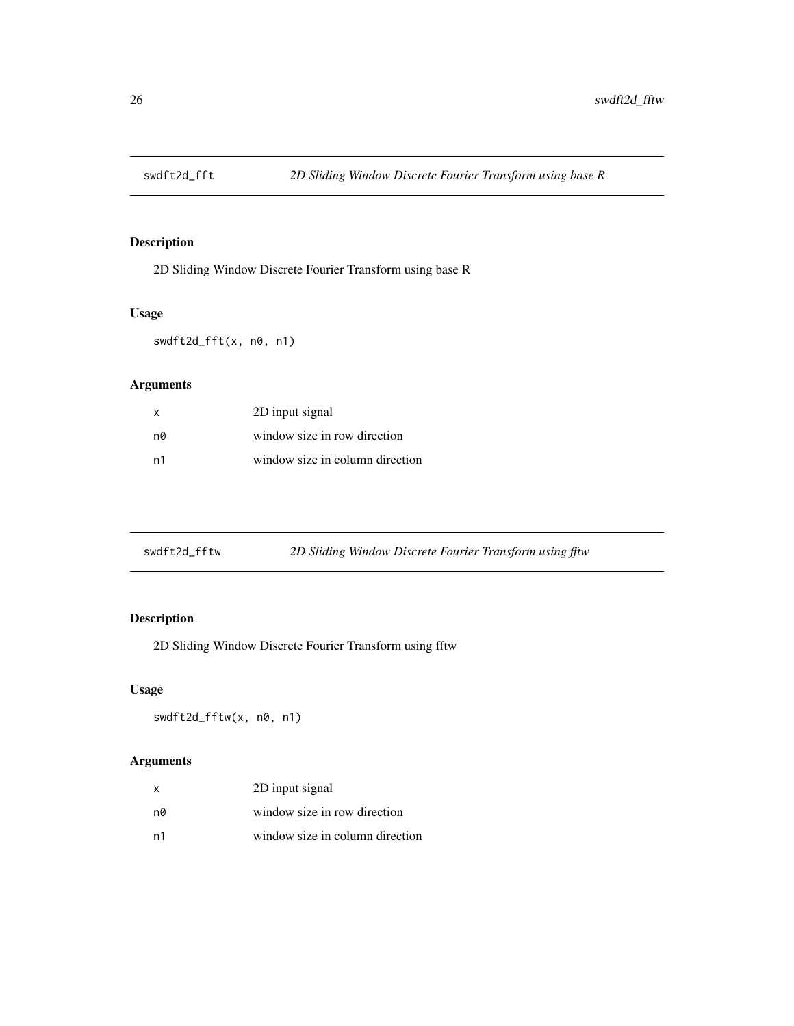<span id="page-25-0"></span>

2D Sliding Window Discrete Fourier Transform using base R

# Usage

swdft2d\_fft(x, n0, n1)

# Arguments

| $\mathbf{x}$ | 2D input signal                 |
|--------------|---------------------------------|
| n0           | window size in row direction    |
| n1           | window size in column direction |

| swdft2d_fftw | 2D Sliding Window Discrete Fourier Transform using fftw |
|--------------|---------------------------------------------------------|
|              |                                                         |

# Description

2D Sliding Window Discrete Fourier Transform using fftw

#### Usage

swdft2d\_fftw(x, n0, n1)

| x  | 2D input signal                 |
|----|---------------------------------|
| nØ | window size in row direction    |
| n1 | window size in column direction |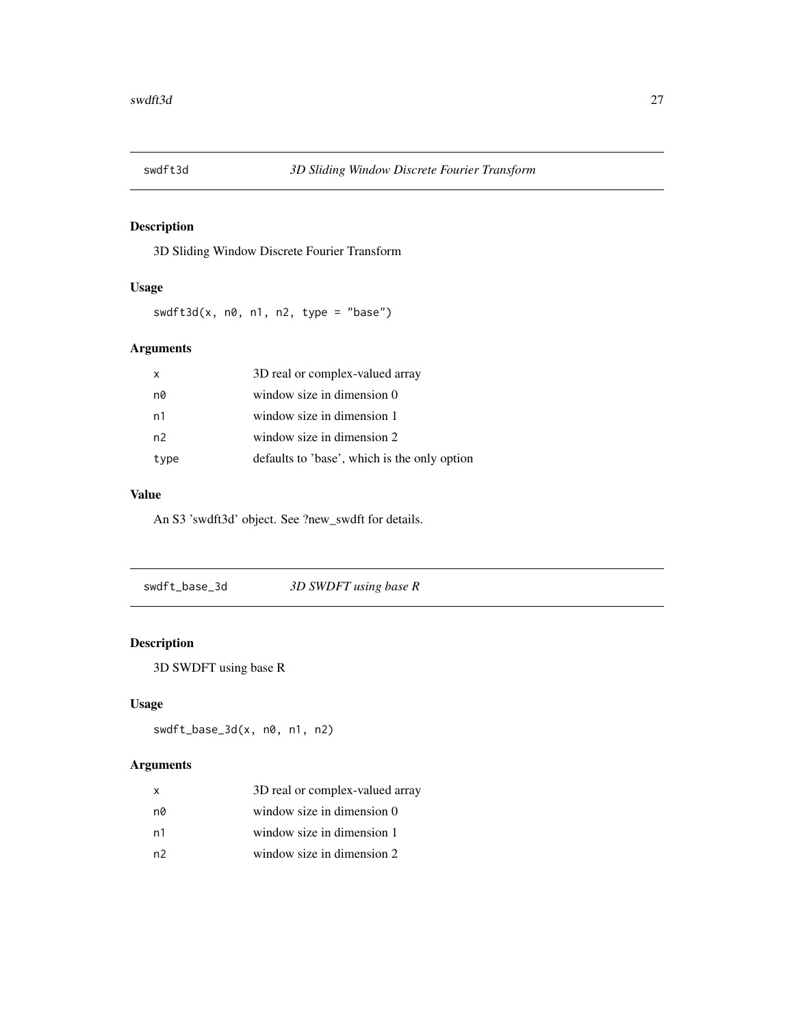<span id="page-26-0"></span>

3D Sliding Window Discrete Fourier Transform

#### Usage

 $swdft3d(x, n0, n1, n2, type = "base")$ 

#### Arguments

| X    | 3D real or complex-valued array              |
|------|----------------------------------------------|
| n0   | window size in dimension 0                   |
| n1   | window size in dimension 1                   |
| n2   | window size in dimension 2                   |
| type | defaults to 'base', which is the only option |

#### Value

An S3 'swdft3d' object. See ?new\_swdft for details.

swdft\_base\_3d *3D SWDFT using base R*

# Description

3D SWDFT using base R

#### Usage

```
swdft_base_3d(x, n0, n1, n2)
```

| x  | 3D real or complex-valued array |
|----|---------------------------------|
| nØ | window size in dimension 0      |
| n1 | window size in dimension 1      |
| n2 | window size in dimension 2      |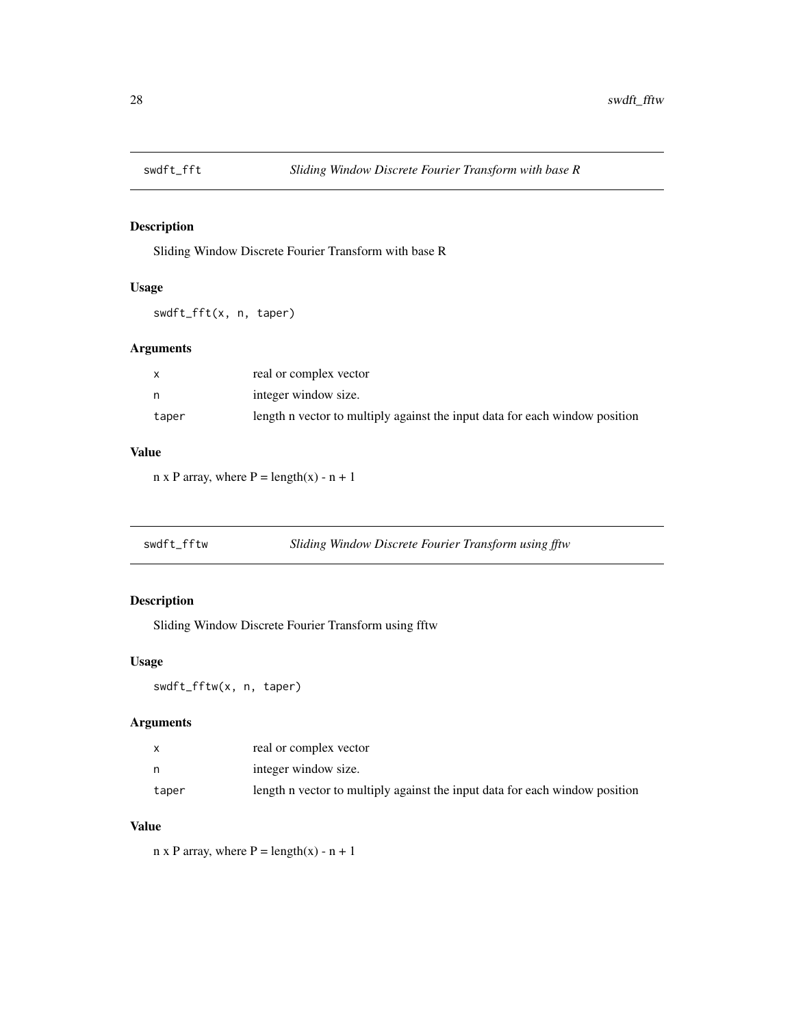<span id="page-27-0"></span>

Sliding Window Discrete Fourier Transform with base R

#### Usage

swdft\_fft(x, n, taper)

#### Arguments

|       | real or complex vector                                                      |
|-------|-----------------------------------------------------------------------------|
| n     | integer window size.                                                        |
| taper | length n vector to multiply against the input data for each window position |

# Value

 $n \times P$  array, where  $P = \text{length}(x) - n + 1$ 

| swdft_fftw | Sliding Window Discrete Fourier Transform using fftw |  |
|------------|------------------------------------------------------|--|
|            |                                                      |  |

#### Description

Sliding Window Discrete Fourier Transform using fftw

### Usage

swdft\_fftw(x, n, taper)

# Arguments

|       | real or complex vector                                                      |
|-------|-----------------------------------------------------------------------------|
|       | integer window size.                                                        |
| taper | length n vector to multiply against the input data for each window position |

# Value

 $n \times P$  array, where  $P = \text{length}(x) - n + 1$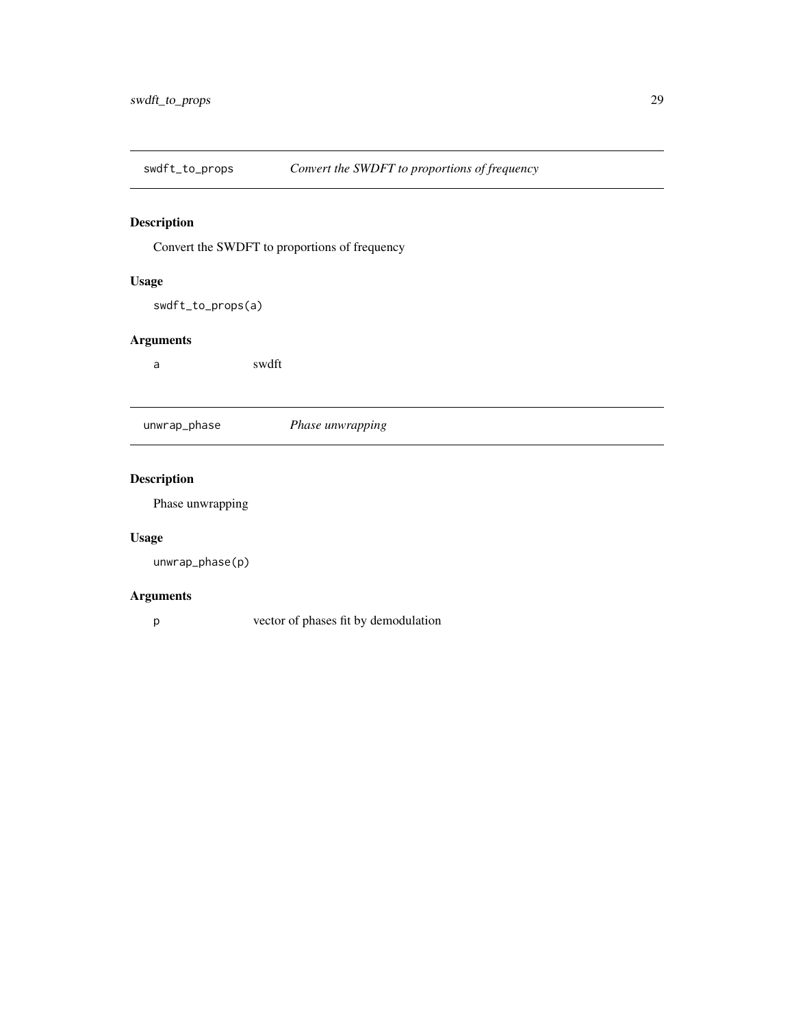<span id="page-28-0"></span>

Convert the SWDFT to proportions of frequency

#### Usage

swdft\_to\_props(a)

#### Arguments

a swdft

| unwrap_phase | <i>Phase unwrapping</i> |
|--------------|-------------------------|
|              |                         |

# Description

Phase unwrapping

#### Usage

unwrap\_phase(p)

#### Arguments

p vector of phases fit by demodulation